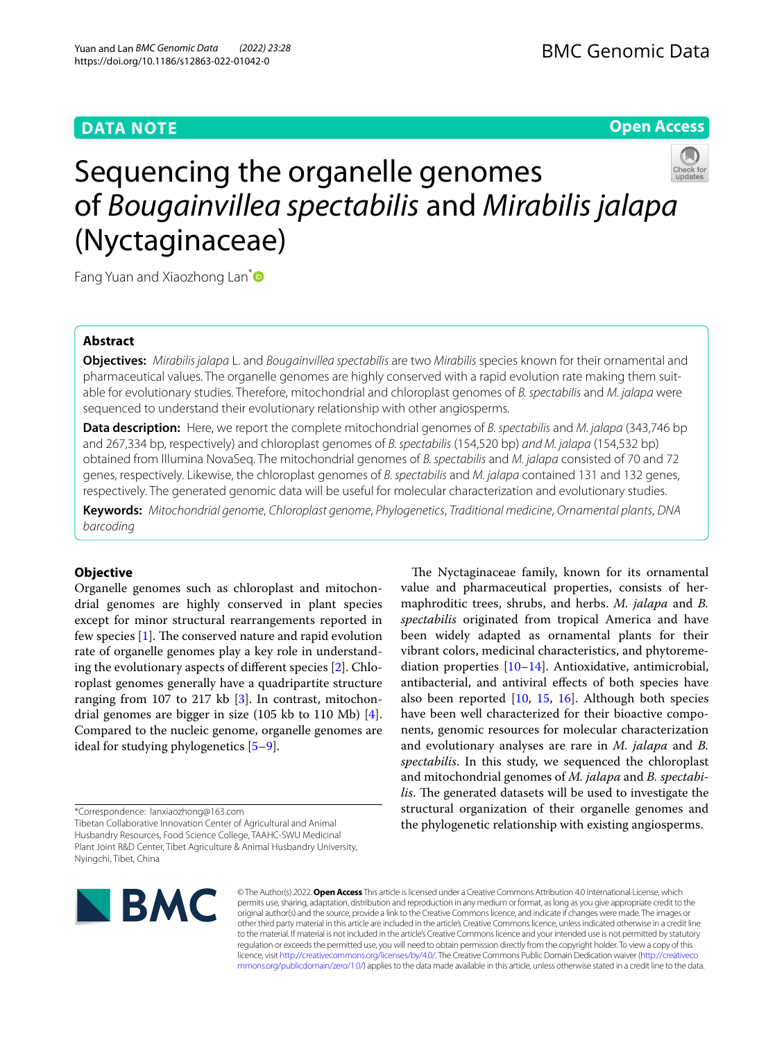# **DATA NOTE**

## **Open Access**



Sequencing the organelle genomes of *Bougainvillea spectabilis* and *Mirabilis jalapa* (Nyctaginaceae)

Fang Yuan and Xiaozhong Lan<sup>[\\*](http://orcid.org/0000-0002-1951-5560)</sup>

## **Abstract**

**Objectives:** *Mirabilis jalapa* L. and *Bougainvillea spectabilis* are two *Mirabilis* species known for their ornamental and pharmaceutical values. The organelle genomes are highly conserved with a rapid evolution rate making them suitable for evolutionary studies. Therefore, mitochondrial and chloroplast genomes of *B. spectabilis* and *M. jalapa* were sequenced to understand their evolutionary relationship with other angiosperms.

**Data description:** Here, we report the complete mitochondrial genomes of *B. spectabilis* and *M. jalapa* (343,746 bp and 267,334 bp, respectively) and chloroplast genomes of *B. spectabilis* (154,520 bp) *and M. jalapa* (154,532 bp) obtained from Illumina NovaSeq. The mitochondrial genomes of *B. spectabilis* and *M. jalapa* consisted of 70 and 72 genes, respectively. Likewise, the chloroplast genomes of *B. spectabilis* and *M. jalapa* contained 131 and 132 genes, respectively. The generated genomic data will be useful for molecular characterization and evolutionary studies.

**Keywords:** *Mitochondrial genome*, *Chloroplast genome*, *Phylogenetics*, *Traditional medicine*, *Ornamental plants*, *DNA barcoding*

## **Objective**

Organelle genomes such as chloroplast and mitochondrial genomes are highly conserved in plant species except for minor structural rearrangements reported in few species  $[1]$  $[1]$ . The conserved nature and rapid evolution rate of organelle genomes play a key role in understanding the evolutionary aspects of diferent species [[2](#page-2-1)]. Chloroplast genomes generally have a quadripartite structure ranging from 107 to 217 kb [\[3](#page-2-2)]. In contrast, mitochondrial genomes are bigger in size (105 kb to 110 Mb) [\[4](#page-2-3)]. Compared to the nucleic genome, organelle genomes are ideal for studying phylogenetics [\[5](#page-2-4)[–9](#page-2-5)].

\*Correspondence: lanxiaozhong@163.com

Tibetan Collaborative Innovation Center of Agricultural and Animal Husbandry Resources, Food Science College, TAAHC-SWU Medicinal Plant Joint R&D Center, Tibet Agriculture & Animal Husbandry University, Nyingchi, Tibet, China



© The Author(s) 2022. **Open Access** This article is licensed under a Creative Commons Attribution 4.0 International License, which permits use, sharing, adaptation, distribution and reproduction in any medium or format, as long as you give appropriate credit to the original author(s) and the source, provide a link to the Creative Commons licence, and indicate if changes were made. The images or other third party material in this article are included in the article's Creative Commons licence, unless indicated otherwise in a credit line to the material. If material is not included in the article's Creative Commons licence and your intended use is not permitted by statutory regulation or exceeds the permitted use, you will need to obtain permission directly from the copyright holder. To view a copy of this licence, visit [http://creativecommons.org/licenses/by/4.0/.](http://creativecommons.org/licenses/by/4.0/) The Creative Commons Public Domain Dedication waiver ([http://creativeco](http://creativecommons.org/publicdomain/zero/1.0/) [mmons.org/publicdomain/zero/1.0/](http://creativecommons.org/publicdomain/zero/1.0/)) applies to the data made available in this article, unless otherwise stated in a credit line to the data.

The Nyctaginaceae family, known for its ornamental value and pharmaceutical properties, consists of hermaphroditic trees, shrubs, and herbs. *M. jalapa* and *B. spectabilis* originated from tropical America and have been widely adapted as ornamental plants for their vibrant colors, medicinal characteristics, and phytoremediation properties [[10–](#page-2-6)[14\]](#page-2-7). Antioxidative, antimicrobial, antibacterial, and antiviral efects of both species have also been reported  $[10, 15, 16]$  $[10, 15, 16]$  $[10, 15, 16]$  $[10, 15, 16]$  $[10, 15, 16]$  $[10, 15, 16]$ . Although both species have been well characterized for their bioactive components, genomic resources for molecular characterization and evolutionary analyses are rare in *M. jalapa* and *B. spectabilis*. In this study, we sequenced the chloroplast and mitochondrial genomes of *M. jalapa* and *B. spectabilis*. The generated datasets will be used to investigate the structural organization of their organelle genomes and the phylogenetic relationship with existing angiosperms.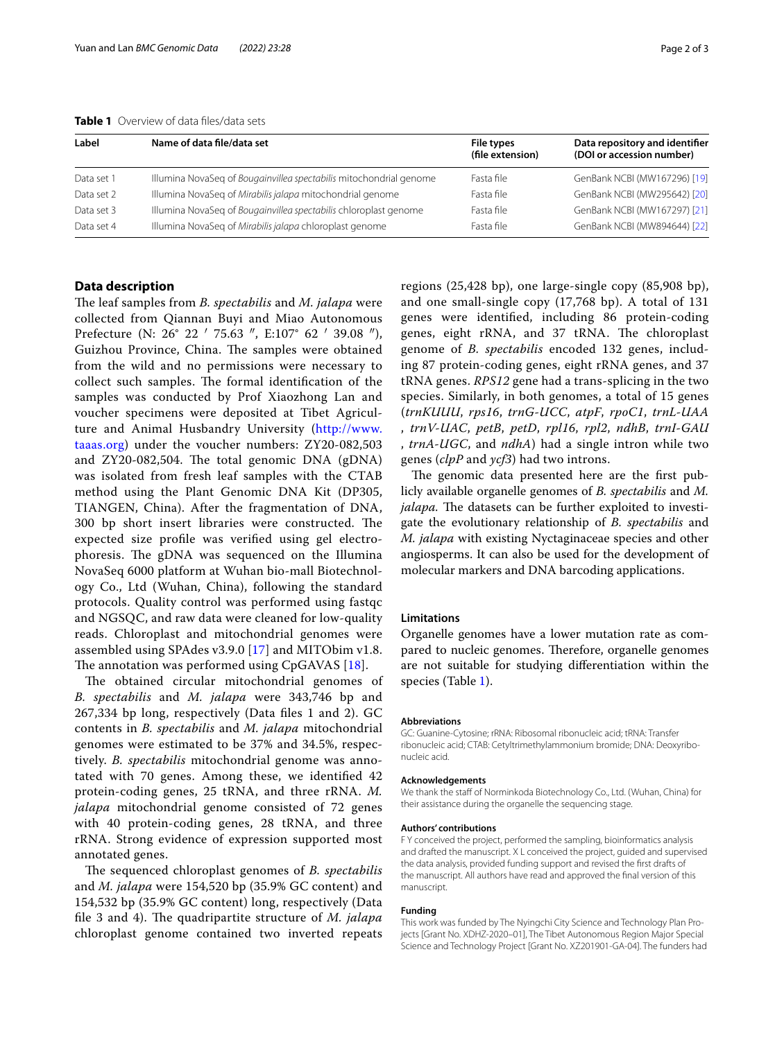<span id="page-1-0"></span>**Table 1** Overview of data files/data sets

| Label      | Name of data file/data set                                         | File types<br>(file extension) | Data repository and identifier<br>(DOI or accession number) |
|------------|--------------------------------------------------------------------|--------------------------------|-------------------------------------------------------------|
| Data set 1 | Illumina NovaSeg of Bougainvillea spectabilis mitochondrial genome | Fasta file                     | GenBank NCBI (MW167296) [19]                                |
| Data set 2 | Illumina NovaSeg of Mirabilis jalapa mitochondrial genome          | Fasta file                     | GenBank NCBI (MW295642) [20]                                |
| Data set 3 | Illumina NovaSeg of Bougainvillea spectabilis chloroplast genome   | Fasta file                     | GenBank NCBI (MW167297) [21]                                |
| Data set 4 | Illumina NovaSeg of Mirabilis jalapa chloroplast genome            | Fasta file                     | GenBank NCBI (MW894644) [22]                                |

## **Data description**

The leaf samples from *B. spectabilis* and *M. jalapa* were collected from Qiannan Buyi and Miao Autonomous Prefecture (N: 26° 22 ′ 75.63 ″, E:107° 62 ′ 39.08 ″), Guizhou Province, China. The samples were obtained from the wild and no permissions were necessary to collect such samples. The formal identification of the samples was conducted by Prof Xiaozhong Lan and voucher specimens were deposited at Tibet Agriculture and Animal Husbandry University ([http://www.](http://www.taaas.org) [taaas.org\)](http://www.taaas.org) under the voucher numbers: ZY20-082,503 and  $ZY20-082,504$ . The total genomic DNA (gDNA) was isolated from fresh leaf samples with the CTAB method using the Plant Genomic DNA Kit (DP305, TIANGEN, China). After the fragmentation of DNA, 300 bp short insert libraries were constructed. The expected size profle was verifed using gel electrophoresis. The gDNA was sequenced on the Illumina NovaSeq 6000 platform at Wuhan bio-mall Biotechnology Co., Ltd (Wuhan, China), following the standard protocols. Quality control was performed using fastqc and NGSQC, and raw data were cleaned for low-quality reads. Chloroplast and mitochondrial genomes were assembled using SPAdes v3.9.0 [[17\]](#page-2-10) and MITObim v1.8. The annotation was performed using  $CpGAVAS$  [\[18](#page-2-11)].

The obtained circular mitochondrial genomes of *B. spectabilis* and *M. jalapa* were 343,746 bp and 267,334 bp long, respectively (Data fles 1 and 2). GC contents in *B. spectabilis* and *M. jalapa* mitochondrial genomes were estimated to be 37% and 34.5%, respectively. *B. spectabilis* mitochondrial genome was annotated with 70 genes. Among these, we identifed 42 protein-coding genes, 25 tRNA, and three rRNA. *M. jalapa* mitochondrial genome consisted of 72 genes with 40 protein-coding genes, 28 tRNA, and three rRNA. Strong evidence of expression supported most annotated genes.

The sequenced chloroplast genomes of *B. spectabilis* and *M. jalapa* were 154,520 bp (35.9% GC content) and 154,532 bp (35.9% GC content) long, respectively (Data file 3 and 4). The quadripartite structure of *M. jalapa* chloroplast genome contained two inverted repeats regions (25,428 bp), one large-single copy (85,908 bp), and one small-single copy (17,768 bp). A total of 131 genes were identifed, including 86 protein-coding genes, eight rRNA, and 37 tRNA. The chloroplast genome of *B. spectabilis* encoded 132 genes, including 87 protein-coding genes, eight rRNA genes, and 37 tRNA genes. *RPS12* gene had a trans-splicing in the two species. Similarly, in both genomes, a total of 15 genes (*trnKUUU*, *rps16*, *trnG-UCC*, *atpF*, *rpoC1*, *trnL-UAA* , *trnV-UAC*, *petB*, *petD*, *rpl16*, *rpl2*, *ndhB*, *trnI-GAU* , *trnA-UGC*, and *ndhA*) had a single intron while two genes (*clpP* and *ycf3*) had two introns.

The genomic data presented here are the first publicly available organelle genomes of *B. spectabilis* and *M. jalapa*. The datasets can be further exploited to investigate the evolutionary relationship of *B. spectabilis* and *M. jalapa* with existing Nyctaginaceae species and other angiosperms. It can also be used for the development of molecular markers and DNA barcoding applications.

### **Limitations**

Organelle genomes have a lower mutation rate as compared to nucleic genomes. Therefore, organelle genomes are not suitable for studying diferentiation within the species (Table [1](#page-1-0)).

#### **Abbreviations**

GC: Guanine-Cytosine; rRNA: Ribosomal ribonucleic acid; tRNA: Transfer ribonucleic acid; CTAB: Cetyltrimethylammonium bromide; DNA: Deoxyribonucleic acid.

### **Acknowledgements**

We thank the staff of Norminkoda Biotechnology Co., Ltd. (Wuhan, China) for their assistance during the organelle the sequencing stage.

#### **Authors' contributions**

F Y conceived the project, performed the sampling, bioinformatics analysis and drafted the manuscript. X L conceived the project, guided and supervised the data analysis, provided funding support and revised the frst drafts of the manuscript. All authors have read and approved the fnal version of this manuscript.

#### **Funding**

This work was funded by The Nyingchi City Science and Technology Plan Projects [Grant No. XDHZ-2020–01], The Tibet Autonomous Region Major Special Science and Technology Project [Grant No. XZ201901-GA-04]. The funders had